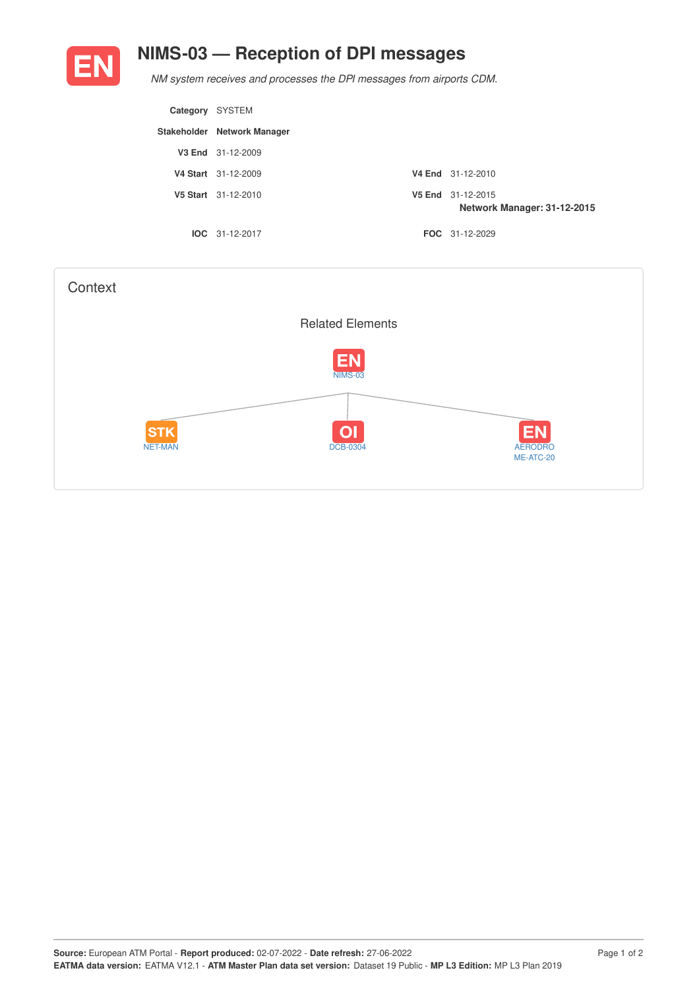

## **NIMS-03 — Reception of DPI messages**

*NM system receives and processes the DPI messages from airports CDM.*

| Category | SYSTEM                      |                                                  |
|----------|-----------------------------|--------------------------------------------------|
|          | Stakeholder Network Manager |                                                  |
|          | V3 End 31-12-2009           |                                                  |
|          | V4 Start 31-12-2009         | V4 End 31-12-2010                                |
|          | V5 Start 31-12-2010         | V5 End 31-12-2015<br>Network Manager: 31-12-2015 |
|          | $IOC 31-12-2017$            | <b>FOC</b> 31-12-2029                            |